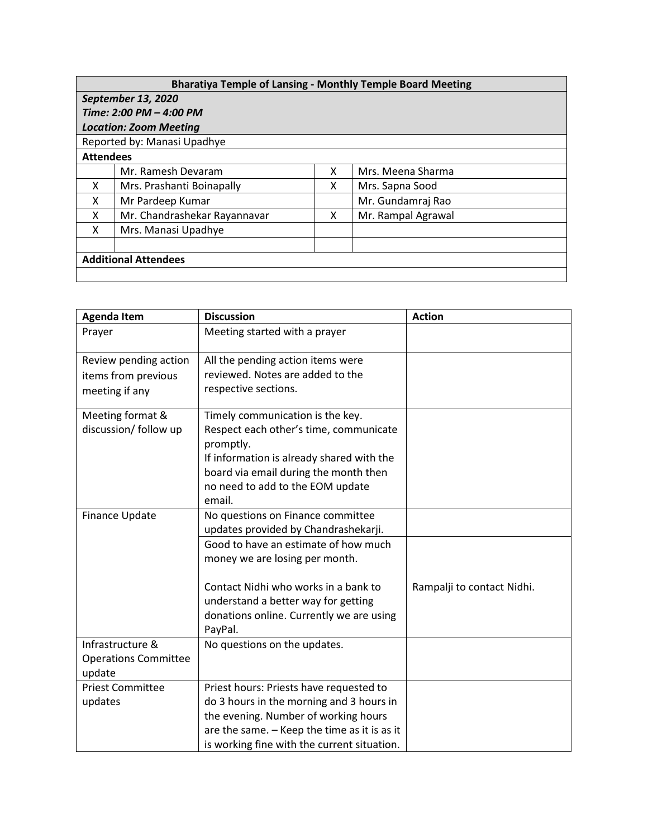| <b>Bharatiya Temple of Lansing - Monthly Temple Board Meeting</b> |                              |   |                    |  |  |  |
|-------------------------------------------------------------------|------------------------------|---|--------------------|--|--|--|
| September 13, 2020                                                |                              |   |                    |  |  |  |
| Time: 2:00 PM - 4:00 PM                                           |                              |   |                    |  |  |  |
| <b>Location: Zoom Meeting</b>                                     |                              |   |                    |  |  |  |
| Reported by: Manasi Upadhye                                       |                              |   |                    |  |  |  |
| <b>Attendees</b>                                                  |                              |   |                    |  |  |  |
|                                                                   | Mr. Ramesh Devaram           | x | Mrs. Meena Sharma  |  |  |  |
| X                                                                 | Mrs. Prashanti Boinapally    | x | Mrs. Sapna Sood    |  |  |  |
| X                                                                 | Mr Pardeep Kumar             |   | Mr. Gundamraj Rao  |  |  |  |
| x                                                                 | Mr. Chandrashekar Rayannavar | x | Mr. Rampal Agrawal |  |  |  |
| x                                                                 | Mrs. Manasi Upadhye          |   |                    |  |  |  |
|                                                                   |                              |   |                    |  |  |  |
| <b>Additional Attendees</b>                                       |                              |   |                    |  |  |  |
|                                                                   |                              |   |                    |  |  |  |

| <b>Agenda Item</b>          | <b>Discussion</b>                                   | <b>Action</b>              |
|-----------------------------|-----------------------------------------------------|----------------------------|
| Prayer                      | Meeting started with a prayer                       |                            |
| Review pending action       | All the pending action items were                   |                            |
| items from previous         | reviewed. Notes are added to the                    |                            |
| meeting if any              | respective sections.                                |                            |
| Meeting format &            | Timely communication is the key.                    |                            |
| discussion/ follow up       | Respect each other's time, communicate<br>promptly. |                            |
|                             | If information is already shared with the           |                            |
|                             | board via email during the month then               |                            |
|                             | no need to add to the EOM update                    |                            |
|                             | email.                                              |                            |
| Finance Update              | No questions on Finance committee                   |                            |
|                             | updates provided by Chandrashekarji.                |                            |
|                             | Good to have an estimate of how much                |                            |
|                             | money we are losing per month.                      |                            |
|                             | Contact Nidhi who works in a bank to                | Rampalji to contact Nidhi. |
|                             | understand a better way for getting                 |                            |
|                             | donations online. Currently we are using            |                            |
|                             | PayPal.                                             |                            |
| Infrastructure &            | No questions on the updates.                        |                            |
| <b>Operations Committee</b> |                                                     |                            |
| update                      |                                                     |                            |
| <b>Priest Committee</b>     | Priest hours: Priests have requested to             |                            |
| updates                     | do 3 hours in the morning and 3 hours in            |                            |
|                             | the evening. Number of working hours                |                            |
|                             | are the same. - Keep the time as it is as it        |                            |
|                             | is working fine with the current situation.         |                            |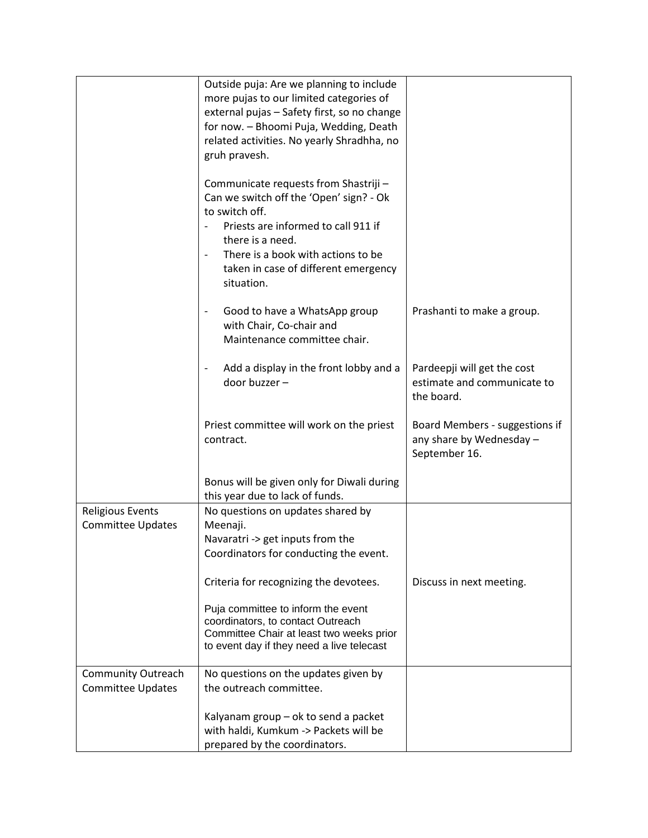|                           | Outside puja: Are we planning to include                                         |                                |
|---------------------------|----------------------------------------------------------------------------------|--------------------------------|
|                           | more pujas to our limited categories of                                          |                                |
|                           | external pujas - Safety first, so no change                                      |                                |
|                           | for now. - Bhoomi Puja, Wedding, Death                                           |                                |
|                           | related activities. No yearly Shradhha, no                                       |                                |
|                           | gruh pravesh.                                                                    |                                |
|                           |                                                                                  |                                |
|                           | Communicate requests from Shastriji -<br>Can we switch off the 'Open' sign? - Ok |                                |
|                           | to switch off.                                                                   |                                |
|                           | Priests are informed to call 911 if                                              |                                |
|                           | there is a need.                                                                 |                                |
|                           | There is a book with actions to be<br>$\overline{\phantom{a}}$                   |                                |
|                           |                                                                                  |                                |
|                           | taken in case of different emergency<br>situation.                               |                                |
|                           |                                                                                  |                                |
|                           | Good to have a WhatsApp group<br>$\overline{\phantom{a}}$                        | Prashanti to make a group.     |
|                           | with Chair, Co-chair and                                                         |                                |
|                           | Maintenance committee chair.                                                     |                                |
|                           |                                                                                  |                                |
|                           | Add a display in the front lobby and a<br>$\overline{\phantom{a}}$               | Pardeepji will get the cost    |
|                           | door buzzer -                                                                    | estimate and communicate to    |
|                           |                                                                                  | the board.                     |
|                           |                                                                                  |                                |
|                           | Priest committee will work on the priest                                         | Board Members - suggestions if |
|                           | contract.                                                                        | any share by Wednesday -       |
|                           |                                                                                  | September 16.                  |
|                           |                                                                                  |                                |
|                           | Bonus will be given only for Diwali during                                       |                                |
|                           | this year due to lack of funds.                                                  |                                |
| <b>Religious Events</b>   | No questions on updates shared by                                                |                                |
| <b>Committee Updates</b>  | Meenaji.                                                                         |                                |
|                           | Navaratri -> get inputs from the                                                 |                                |
|                           | Coordinators for conducting the event.                                           |                                |
|                           | Criteria for recognizing the devotees.                                           | Discuss in next meeting.       |
|                           |                                                                                  |                                |
|                           | Puja committee to inform the event                                               |                                |
|                           | coordinators, to contact Outreach                                                |                                |
|                           | Committee Chair at least two weeks prior                                         |                                |
|                           | to event day if they need a live telecast                                        |                                |
| <b>Community Outreach</b> | No questions on the updates given by                                             |                                |
| <b>Committee Updates</b>  | the outreach committee.                                                          |                                |
|                           |                                                                                  |                                |
|                           | Kalyanam group - ok to send a packet                                             |                                |
|                           | with haldi, Kumkum -> Packets will be                                            |                                |
|                           | prepared by the coordinators.                                                    |                                |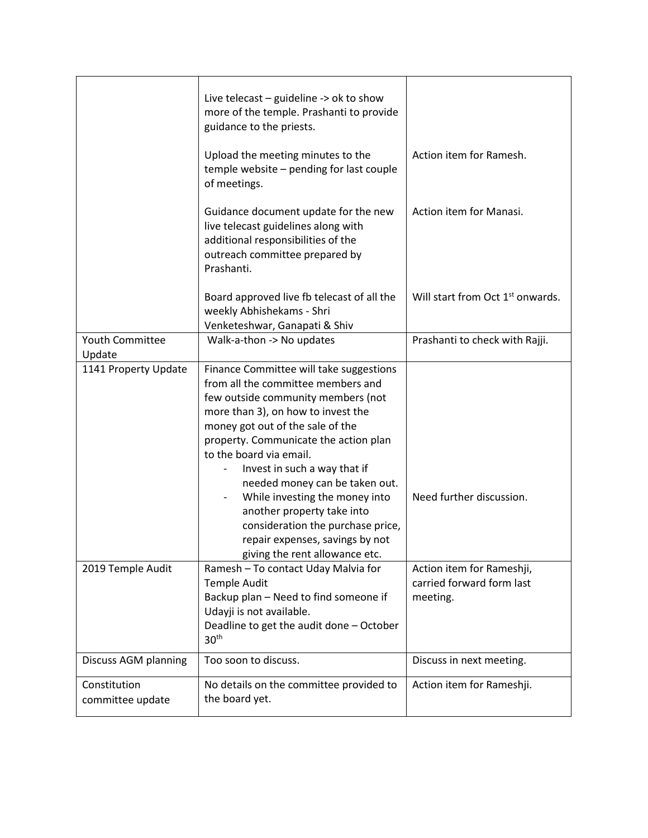|                                  | Live telecast $-$ guideline $\rightarrow$ ok to show<br>more of the temple. Prashanti to provide<br>guidance to the priests.                                                                                                                                                                                                                                                                                                                                                                                  |                                                                    |
|----------------------------------|---------------------------------------------------------------------------------------------------------------------------------------------------------------------------------------------------------------------------------------------------------------------------------------------------------------------------------------------------------------------------------------------------------------------------------------------------------------------------------------------------------------|--------------------------------------------------------------------|
|                                  | Upload the meeting minutes to the<br>temple website - pending for last couple<br>of meetings.                                                                                                                                                                                                                                                                                                                                                                                                                 | Action item for Ramesh.                                            |
|                                  | Guidance document update for the new<br>live telecast guidelines along with<br>additional responsibilities of the<br>outreach committee prepared by<br>Prashanti.                                                                                                                                                                                                                                                                                                                                             | Action item for Manasi.                                            |
|                                  | Board approved live fb telecast of all the<br>weekly Abhishekams - Shri<br>Venketeshwar, Ganapati & Shiv                                                                                                                                                                                                                                                                                                                                                                                                      | Will start from Oct 1 <sup>st</sup> onwards.                       |
| Youth Committee                  | Walk-a-thon -> No updates                                                                                                                                                                                                                                                                                                                                                                                                                                                                                     | Prashanti to check with Rajji.                                     |
| Update                           |                                                                                                                                                                                                                                                                                                                                                                                                                                                                                                               |                                                                    |
| 1141 Property Update             | Finance Committee will take suggestions<br>from all the committee members and<br>few outside community members (not<br>more than 3), on how to invest the<br>money got out of the sale of the<br>property. Communicate the action plan<br>to the board via email.<br>Invest in such a way that if<br>needed money can be taken out.<br>While investing the money into<br>another property take into<br>consideration the purchase price,<br>repair expenses, savings by not<br>giving the rent allowance etc. | Need further discussion.                                           |
| 2019 Temple Audit                | Ramesh - To contact Uday Malvia for<br><b>Temple Audit</b><br>Backup plan - Need to find someone if<br>Udayji is not available.<br>Deadline to get the audit done - October<br>30 <sup>th</sup>                                                                                                                                                                                                                                                                                                               | Action item for Rameshji,<br>carried forward form last<br>meeting. |
| Discuss AGM planning             | Too soon to discuss.                                                                                                                                                                                                                                                                                                                                                                                                                                                                                          | Discuss in next meeting.                                           |
| Constitution<br>committee update | No details on the committee provided to<br>the board yet.                                                                                                                                                                                                                                                                                                                                                                                                                                                     | Action item for Rameshji.                                          |